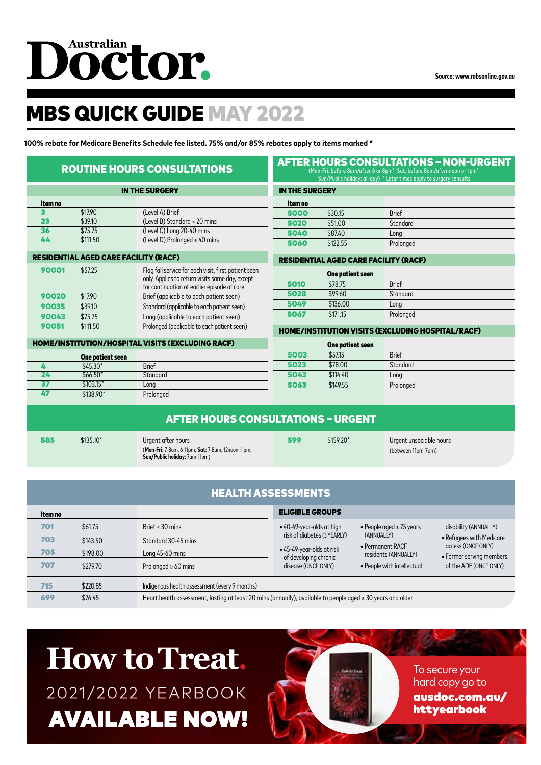# Dôctor.

 $\frac{1}{2}$   $\frac{1}{2}$   $\frac{1}{2}$   $\frac{1}{2}$   $\frac{1}{2}$   $\frac{1}{2}$   $\frac{1}{2}$   $\frac{1}{2}$   $\frac{1}{2}$   $\frac{1}{2}$   $\frac{1}{2}$   $\frac{1}{2}$   $\frac{1}{2}$   $\frac{1}{2}$   $\frac{1}{2}$   $\frac{1}{2}$   $\frac{1}{2}$   $\frac{1}{2}$   $\frac{1}{2}$   $\frac{1}{2}$   $\frac{1}{2}$   $\frac{1}{2}$ 

### MBS QUICK GUIDE MAY 2022

**100% rebate for Medicare Benefits Schedule fee listed. 75% and/or 85% rebates apply to items marked \***

|                                              |                  | <b>ROUTINE HOURS CONSULTATIONS</b>                                                                                                                      | <b>AFTER HOURS CONSULTATIONS - NON-URGENT</b><br>(Mon-Fri: before 8am/after 6 or 8pm <sup>+</sup> ; Sat: before 8am/after noon or 1pm <sup>+</sup> ;<br>Sun/Public holiday: all day) + Later times apply to surgery consults |                                              |                                                          |  |
|----------------------------------------------|------------------|---------------------------------------------------------------------------------------------------------------------------------------------------------|------------------------------------------------------------------------------------------------------------------------------------------------------------------------------------------------------------------------------|----------------------------------------------|----------------------------------------------------------|--|
| <b>IN THE SURGERY</b>                        |                  |                                                                                                                                                         | <b>IN THE SURGERY</b>                                                                                                                                                                                                        |                                              |                                                          |  |
| Item no                                      |                  |                                                                                                                                                         | ltem no                                                                                                                                                                                                                      |                                              |                                                          |  |
| 3                                            | \$17.90          | (Level A) Brief                                                                                                                                         | 5000                                                                                                                                                                                                                         | \$30.15                                      | <b>Brief</b>                                             |  |
| 23                                           | \$39.10          | (Level B) Standard < 20 mins                                                                                                                            | 5020                                                                                                                                                                                                                         | \$51.00                                      | Standard                                                 |  |
| 36                                           | \$75.75          | (Level C) Long 20-40 mins                                                                                                                               | 5040                                                                                                                                                                                                                         | \$87.40                                      | Long                                                     |  |
| 44                                           | \$111.50         | (Level D) Prolonged $\geq 40$ mins                                                                                                                      | 5060                                                                                                                                                                                                                         | \$122.55                                     | Prolonged                                                |  |
| <b>RESIDENTIAL AGED CARE FACILITY (RACF)</b> |                  |                                                                                                                                                         |                                                                                                                                                                                                                              | <b>RESIDENTIAL AGED CARE FACILITY (RACF)</b> |                                                          |  |
| 90001                                        | \$57.25          | Flag fall service for each visit, first patient seen<br>only. Applies to return visits same day, except<br>for continuation of earlier episode of care. | One patient seen                                                                                                                                                                                                             |                                              |                                                          |  |
|                                              |                  |                                                                                                                                                         | 5010                                                                                                                                                                                                                         | \$78.75                                      | <b>Brief</b>                                             |  |
| 90020                                        | \$17.90          | Brief (applicable to each patient seen)                                                                                                                 | 5028                                                                                                                                                                                                                         | \$99.60                                      | Standard                                                 |  |
| 90035                                        | \$39.10          | Standard (applicable to each patient seen)                                                                                                              | 5049                                                                                                                                                                                                                         | \$136.00                                     | Long                                                     |  |
| 90043                                        | \$75.75          | Long (applicable to each patient seen)                                                                                                                  | 5067                                                                                                                                                                                                                         | \$171.15                                     | Prolonged                                                |  |
| 90051                                        | \$111.50         | Prolonged (applicable to each patient seen)                                                                                                             |                                                                                                                                                                                                                              |                                              | <b>HOME/INSTITUTION VISITS (EXCLUDING HOSPITAL/RACF)</b> |  |
|                                              |                  | <b>HOME/INSTITUTION/HOSPITAL VISITS (EXCLUDING RACF)</b>                                                                                                |                                                                                                                                                                                                                              | <b>One patient seen</b>                      |                                                          |  |
|                                              | One patient seen |                                                                                                                                                         | 5003                                                                                                                                                                                                                         | \$57.15                                      | <b>Brief</b>                                             |  |
| 4                                            | $$45.30*$        | <b>Brief</b>                                                                                                                                            | 5023                                                                                                                                                                                                                         | \$78.00                                      | Standard                                                 |  |
| 24                                           | $$66.50*$        | Standard                                                                                                                                                | 5043                                                                                                                                                                                                                         | \$114.40                                     | Long                                                     |  |
| 37                                           | $$103.15*$       | Long                                                                                                                                                    | 5063                                                                                                                                                                                                                         | \$149.55                                     | Prolonged                                                |  |
| 47                                           | \$138.90*        | Prolonged                                                                                                                                               |                                                                                                                                                                                                                              |                                              |                                                          |  |
| <b>AFTER HOURS CONSULTATIONS - URGENT</b>    |                  |                                                                                                                                                         |                                                                                                                                                                                                                              |                                              |                                                          |  |
| 585                                          | $$135.10*$       | Urgent after hours                                                                                                                                      | 599                                                                                                                                                                                                                          | $$159.20*$                                   | Urgent unsociable hours                                  |  |
|                                              |                  | (Mon-Fri: 7-8am, 6-11pm; Sat: 7-8am, 12noon-11pm;<br>Sun/Public holiday: 7am-11pm)                                                                      |                                                                                                                                                                                                                              |                                              | (between 11pm-7am)                                       |  |

| <b>HEALTH ASSESSMENTS</b> |          |                                                                                                                  |                                                    |                                          |                                                |
|---------------------------|----------|------------------------------------------------------------------------------------------------------------------|----------------------------------------------------|------------------------------------------|------------------------------------------------|
| ltem no                   |          |                                                                                                                  | <b>ELIGIBLE GROUPS</b>                             |                                          |                                                |
| 701                       | \$61.75  | Brief $<$ 30 mins                                                                                                | • 40-49-year-olds at high                          | • People aged $\geq$ 75 years            | disability (ANNUALLY)                          |
| 703                       | \$143.50 | Standard 30-45 mins                                                                                              | risk of diabetes (3 YEARLY)                        | (ANNUALLY)                               | • Refugees with Medicare                       |
| 705                       | \$198.00 | Long $45-60$ mins                                                                                                | • 45-49-year-olds at risk<br>of developing chronic | • Permanent RACF<br>residents (ANNUALLY) | access (ONCE ONLY)<br>• Former serving members |
| 707                       | \$279.70 | Prolonged $\geq 60$ mins                                                                                         | disease (ONCE ONLY)                                | • People with intellectual               | of the ADF (ONCE ONLY)                         |
| 715                       | \$220.85 | Indigenous health assessment (every 9 months)                                                                    |                                                    |                                          |                                                |
| 699                       | \$76.45  | Heart health assessment, lasting at least 20 mins (annually), available to people aged $\geq 30$ years and older |                                                    |                                          |                                                |

## **How to Treat.** 2021/2022 YEARBOOK **AVAILABLE NOW!**